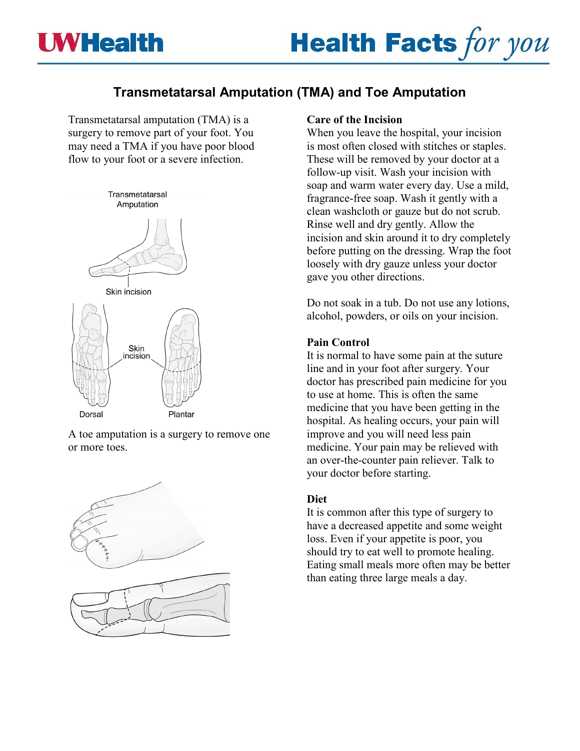

# **Transmetatarsal Amputation (TMA) and Toe Amputation**

Transmetatarsal amputation (TMA) is a surgery to remove part of your foot. You may need a TMA if you have poor blood flow to your foot or a severe infection.



A toe amputation is a surgery to remove one or more toes.



#### **Care of the Incision**

When you leave the hospital, your incision is most often closed with stitches or staples. These will be removed by your doctor at a follow-up visit. Wash your incision with soap and warm water every day. Use a mild, fragrance-free soap. Wash it gently with a clean washcloth or gauze but do not scrub. Rinse well and dry gently. Allow the incision and skin around it to dry completely before putting on the dressing. Wrap the foot loosely with dry gauze unless your doctor gave you other directions.

Do not soak in a tub. Do not use any lotions, alcohol, powders, or oils on your incision.

#### **Pain Control**

It is normal to have some pain at the suture line and in your foot after surgery. Your doctor has prescribed pain medicine for you to use at home. This is often the same medicine that you have been getting in the hospital. As healing occurs, your pain will improve and you will need less pain medicine. Your pain may be relieved with an over-the-counter pain reliever. Talk to your doctor before starting.

#### **Diet**

It is common after this type of surgery to have a decreased appetite and some weight loss. Even if your appetite is poor, you should try to eat well to promote healing. Eating small meals more often may be better than eating three large meals a day.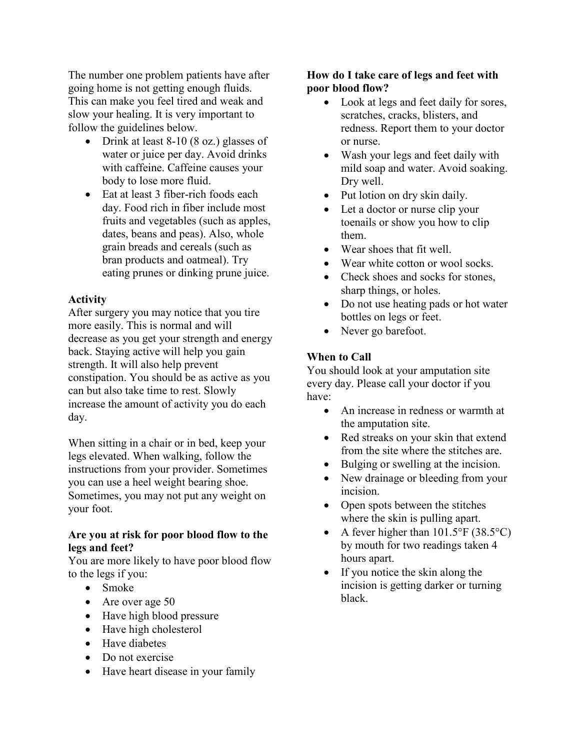The number one problem patients have after going home is not getting enough fluids. This can make you feel tired and weak and slow your healing. It is very important to follow the guidelines below.

- Drink at least 8-10 (8 oz.) glasses of water or juice per day. Avoid drinks with caffeine. Caffeine causes your body to lose more fluid.
- Eat at least 3 fiber-rich foods each day. Food rich in fiber include most fruits and vegetables (such as apples, dates, beans and peas). Also, whole grain breads and cereals (such as bran products and oatmeal). Try eating prunes or dinking prune juice.

## **Activity**

After surgery you may notice that you tire more easily. This is normal and will decrease as you get your strength and energy back. Staying active will help you gain strength. It will also help prevent constipation. You should be as active as you can but also take time to rest. Slowly increase the amount of activity you do each day.

When sitting in a chair or in bed, keep your legs elevated. When walking, follow the instructions from your provider. Sometimes you can use a heel weight bearing shoe. Sometimes, you may not put any weight on your foot.

## **Are you at risk for poor blood flow to the legs and feet?**

You are more likely to have poor blood flow to the legs if you:

- Smoke
- Are over age 50
- Have high blood pressure
- Have high cholesterol
- Have diabetes
- Do not exercise
- Have heart disease in your family

## **How do I take care of legs and feet with poor blood flow?**

- Look at legs and feet daily for sores, scratches, cracks, blisters, and redness. Report them to your doctor or nurse.
- Wash your legs and feet daily with mild soap and water. Avoid soaking. Dry well.
- Put lotion on dry skin daily.
- Let a doctor or nurse clip your toenails or show you how to clip them.
- Wear shoes that fit well.
- Wear white cotton or wool socks.
- Check shoes and socks for stones, sharp things, or holes.
- Do not use heating pads or hot water bottles on legs or feet.
- Never go barefoot.

# **When to Call**

You should look at your amputation site every day. Please call your doctor if you have:

- An increase in redness or warmth at the amputation site.
- Red streaks on your skin that extend from the site where the stitches are.
- Bulging or swelling at the incision.
- New drainage or bleeding from your incision.
- Open spots between the stitches where the skin is pulling apart.
- A fever higher than  $101.5^{\circ}$ F (38.5 $^{\circ}$ C) by mouth for two readings taken 4 hours apart.
- If you notice the skin along the incision is getting darker or turning black.